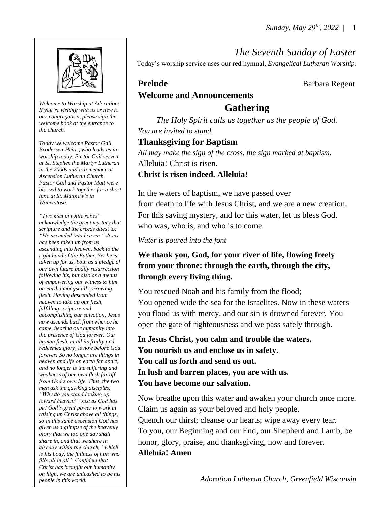*The Seventh Sunday of Easter*

*Welcome to Worship at Adoration! If you're visiting with us or new to our congregation, please sign the welcome book at the entrance to the church.*

*Today we welcome Pastor Gail Brodersen-Heins, who leads us in worship today. Pastor Gail served at St. Stephen the Martyr Lutheran in the 2000s and is a member at Ascension Lutheran Church. Pastor Gail and Pastor Matt were blessed to work together for a short time at St. Matthew's in Wauwatosa.*

*"Two men in white robes" acknowledge the great mystery that scripture and the creeds attest to: "He ascended into heaven." Jesus has been taken up from us, ascending into heaven, back to the right hand of the Father. Yet he is taken up for us, both as a pledge of our own future bodily resurrection following his, but also as a means of empowering our witness to him on earth amongst all sorrowing flesh. Having descended from heaven to take up our flesh, fulfilling scripture and accomplishing our salvation, Jesus now ascends back from whence he came, bearing our humanity into the presence of God forever. Our human flesh, in all its frailty and redeemed glory, is now before God forever! So no longer are things in heaven and life on earth far apart, and no longer is the suffering and weakness of our own flesh far off from God's own life. Thus, the two men ask the gawking disciples, "Why do you stand looking up toward heaven?" Just as God has put God's great power to work in raising up Christ above all things, so in this same ascension God has given us a glimpse of the heavenly glory that we too one day shall share in, and that we share in already within the church, "which is his body, the fullness of him who fills all in all." Confident that Christ has brought our humanity on high, we are unleashed to be his people in this world.*

**Welcome and Announcements**

# **Gathering**

Today's worship service uses our red hymnal, *Evangelical Lutheran Worship.*

**Prelude Barbara Regent** 

*The Holy Spirit calls us together as the people of God. You are invited to stand.* 

# **Thanksgiving for Baptism**

*All may make the sign of the cross, the sign marked at baptism.* Alleluia! Christ is risen.

## **Christ is risen indeed. Alleluia!**

In the waters of baptism, we have passed over from death to life with Jesus Christ, and we are a new creation. For this saving mystery, and for this water, let us bless God, who was, who is, and who is to come.

*Water is poured into the font* 

# **We thank you, God, for your river of life, flowing freely from your throne: through the earth, through the city, through every living thing.**

You rescued Noah and his family from the flood; You opened wide the sea for the Israelites. Now in these waters you flood us with mercy, and our sin is drowned forever. You open the gate of righteousness and we pass safely through.

**In Jesus Christ, you calm and trouble the waters. You nourish us and enclose us in safety. You call us forth and send us out. In lush and barren places, you are with us. You have become our salvation.**

Now breathe upon this water and awaken your church once more. Claim us again as your beloved and holy people. Quench our thirst; cleanse our hearts; wipe away every tear. To you, our Beginning and our End, our Shepherd and Lamb, be honor, glory, praise, and thanksgiving, now and forever. **Alleluia! Amen**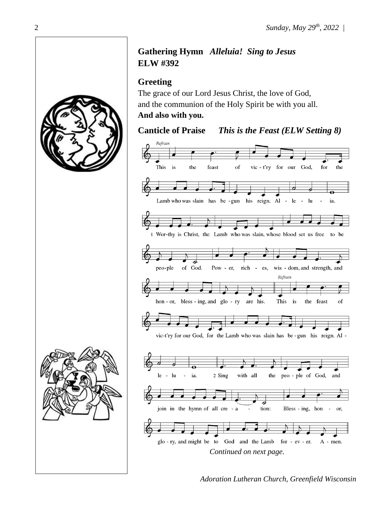# **Gathering Hymn** *Alleluia! Sing to Jesus* **ELW #392**

# **Greeting**

The grace of our Lord Jesus Christ, the love of God, and the communion of the Holy Spirit be with you all. **And also with you.**

# **Canticle of Praise** *This is the Feast (ELW Setting 8)*









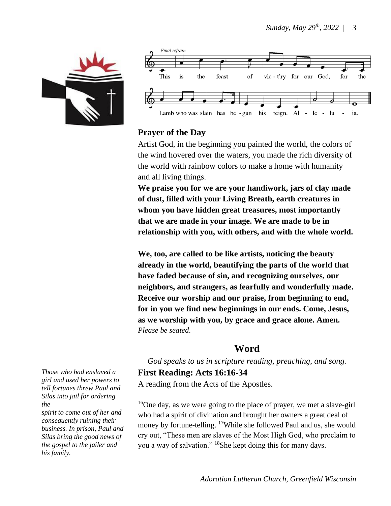



## **Prayer of the Day**

Artist God, in the beginning you painted the world, the colors of the wind hovered over the waters, you made the rich diversity of the world with rainbow colors to make a home with humanity and all living things.

**We praise you for we are your handiwork, jars of clay made of dust, filled with your Living Breath, earth creatures in whom you have hidden great treasures, most importantly that we are made in your image. We are made to be in relationship with you, with others, and with the whole world.** 

**We, too, are called to be like artists, noticing the beauty already in the world, beautifying the parts of the world that have faded because of sin, and recognizing ourselves, our neighbors, and strangers, as fearfully and wonderfully made. Receive our worship and our praise, from beginning to end, for in you we find new beginnings in our ends. Come, Jesus, as we worship with you, by grace and grace alone. Amen.** *Please be seated*.

## **Word**

*God speaks to us in scripture reading, preaching, and song.*

**First Reading: Acts 16:16-34** A reading from the Acts of the Apostles.

<sup>16</sup>One day, as we were going to the place of prayer, we met a slave-girl who had a spirit of divination and brought her owners a great deal of money by fortune-telling. <sup>17</sup>While she followed Paul and us, she would cry out, "These men are slaves of the Most High God, who proclaim to you a way of salvation." <sup>18</sup>She kept doing this for many days.

*Those who had enslaved a girl and used her powers to tell fortunes threw Paul and Silas into jail for ordering the*

*spirit to come out of her and consequently ruining their business. In prison, Paul and Silas bring the good news of the gospel to the jailer and his family.*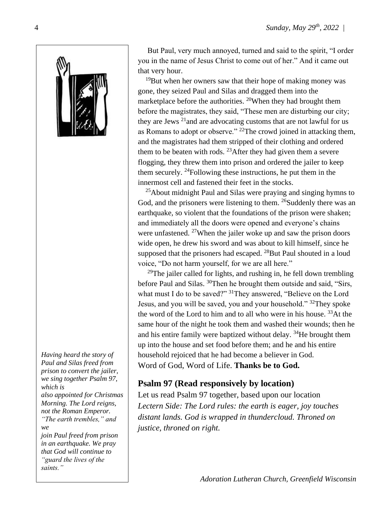

*Having heard the story of Paul and Silas freed from prison to convert the jailer, we sing together Psalm 97, which is also appointed for Christmas Morning. The Lord reigns, not the Roman Emperor. "The earth trembles," and we join Paul freed from prison in an earthquake. We pray that God will continue to* 

*"guard the lives of the* 

*saints."*

 But Paul, very much annoyed, turned and said to the spirit, "I order you in the name of Jesus Christ to come out of her." And it came out that very hour.

 $19$ But when her owners saw that their hope of making money was gone, they seized Paul and Silas and dragged them into the marketplace before the authorities. <sup>20</sup>When they had brought them before the magistrates, they said, "These men are disturbing our city; they are Jews  $21$  and are advocating customs that are not lawful for us as Romans to adopt or observe." <sup>22</sup>The crowd joined in attacking them, and the magistrates had them stripped of their clothing and ordered them to be beaten with rods. <sup>23</sup> After they had given them a severe flogging, they threw them into prison and ordered the jailer to keep them securely. <sup>24</sup>Following these instructions, he put them in the innermost cell and fastened their feet in the stocks.

 $25$ About midnight Paul and Silas were praying and singing hymns to God, and the prisoners were listening to them. <sup>26</sup>Suddenly there was an earthquake, so violent that the foundations of the prison were shaken; and immediately all the doors were opened and everyone's chains were unfastened.  $27$ When the jailer woke up and saw the prison doors wide open, he drew his sword and was about to kill himself, since he supposed that the prisoners had escaped.  $^{28}$ But Paul shouted in a loud voice, "Do not harm yourself, for we are all here."

 $29$ The jailer called for lights, and rushing in, he fell down trembling before Paul and Silas. <sup>30</sup>Then he brought them outside and said, "Sirs, what must I do to be saved?" <sup>31</sup>They answered, "Believe on the Lord" Jesus, and you will be saved, you and your household." <sup>32</sup>They spoke the word of the Lord to him and to all who were in his house. <sup>33</sup>At the same hour of the night he took them and washed their wounds; then he and his entire family were baptized without delay. <sup>34</sup>He brought them up into the house and set food before them; and he and his entire household rejoiced that he had become a believer in God. Word of God, Word of Life. **Thanks be to God.** 

## **Psalm 97 (Read responsively by location)**

Let us read Psalm 97 together, based upon our location *Lectern Side: The Lord rules: the earth is eager, joy touches distant lands. God is wrapped in thundercloud. Throned on justice, throned on right.*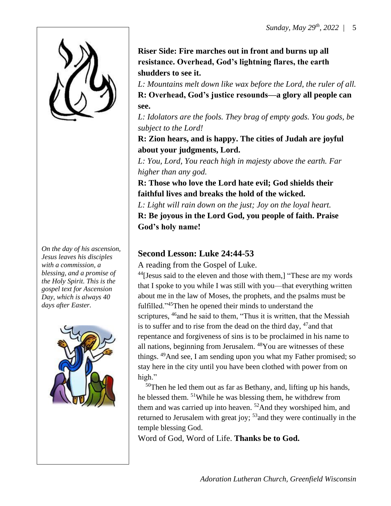

*On the day of his ascension, Jesus leaves his disciples with a commission, a blessing, and a promise of the Holy Spirit. This is the gospel text for Ascension Day, which is always 40 days after Easter.*



**Riser Side: Fire marches out in front and burns up all resistance. Overhead, God's lightning flares, the earth shudders to see it.**

*L: Mountains melt down like wax before the Lord, the ruler of all.* **R: Overhead, God's justice resounds—a glory all people can see.**

*L: Idolators are the fools. They brag of empty gods. You gods, be subject to the Lord!*

**R: Zion hears, and is happy. The cities of Judah are joyful about your judgments, Lord.**

*L: You, Lord, You reach high in majesty above the earth. Far higher than any god.* 

**R: Those who love the Lord hate evil; God shields their faithful lives and breaks the hold of the wicked.** 

*L: Light will rain down on the just; Joy on the loyal heart.*

**R: Be joyous in the Lord God, you people of faith. Praise God's holy name!** 

## **Second Lesson: Luke 24:44-53**

A reading from the Gospel of Luke.

 $44$ [Jesus said to the eleven and those with them,] "These are my words that I spoke to you while I was still with you—that everything written about me in the law of Moses, the prophets, and the psalms must be fulfilled."<sup>45</sup>Then he opened their minds to understand the scriptures, <sup>46</sup> and he said to them, "Thus it is written, that the Messiah is to suffer and to rise from the dead on the third day,  $47$  and that repentance and forgiveness of sins is to be proclaimed in his name to all nations, beginning from Jerusalem. <sup>48</sup>You are witnesses of these things. <sup>49</sup>And see, I am sending upon you what my Father promised; so stay here in the city until you have been clothed with power from on high."

 $50$ Then he led them out as far as Bethany, and, lifting up his hands, he blessed them. <sup>51</sup>While he was blessing them, he withdrew from them and was carried up into heaven. <sup>52</sup>And they worshiped him, and returned to Jerusalem with great joy; <sup>53</sup> and they were continually in the temple blessing God.

Word of God, Word of Life. **Thanks be to God.**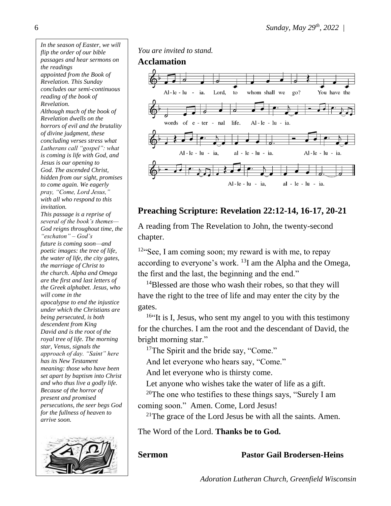*In the season of Easter, we will flip the order of our bible passages and hear sermons on the readings appointed from the Book of Revelation. This Sunday concludes our semi-continuous reading of the book of Revelation. Although much of the book of Revelation dwells on the horrors of evil and the brutality of divine judgment, these concluding verses stress what Lutherans call "gospel": what is coming is life with God, and Jesus is our opening to God. The ascended Christ, hidden from our sight, promises to come again. We eagerly pray, "Come, Lord Jesus," with all who respond to this invitation. This passage is a reprise of several of the book's themes— God reigns throughout time, the "eschaton" – God's future is coming soon—and poetic images: the tree of life, the water of life, the city gates, the marriage of Christ to the church. Alpha and Omega are the first and last letters of the Greek alphabet. Jesus, who will come in the apocalypse to end the injustice under which the Christians are being persecuted, is both descendent from King David and is the root of the royal tree of life. The morning star, Venus, signals the approach of day. "Saint" here has its New Testament meaning: those who have been set apart by baptism into Christ and who thus live a godly life. Because of the horror of present and promised persecutions, the seer begs God for the fullness of heaven to arrive soon.*



*You are invited to stand.*

#### **Acclamation**



## **Preaching Scripture: Revelation 22:12-14, 16-17, 20-21**

A reading from The Revelation to John, the twenty-second chapter.

 $12$ "See, I am coming soon; my reward is with me, to repay according to everyone's work. <sup>13</sup>I am the Alpha and the Omega, the first and the last, the beginning and the end."

<sup>14</sup>Blessed are those who wash their robes, so that they will have the right to the tree of life and may enter the city by the gates.

<sup>16"</sup>It is I, Jesus, who sent my angel to you with this testimony for the churches. I am the root and the descendant of David, the bright morning star."

<sup>17</sup>The Spirit and the bride say, "Come."

And let everyone who hears say, "Come."

And let everyone who is thirsty come.

Let anyone who wishes take the water of life as a gift.

<sup>20</sup>The one who testifies to these things says, "Surely I am coming soon." Amen. Come, Lord Jesus!

 $21$ The grace of the Lord Jesus be with all the saints. Amen.

The Word of the Lord. **Thanks be to God.**

### **Sermon Pastor Gail Brodersen-Heins**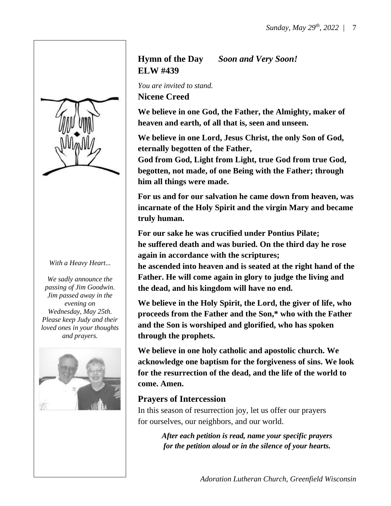

#### *With a Heavy Heart...*

*We sadly announce the passing of Jim Goodwin. Jim passed away in the evening on Wednesday, May 25th. Please keep Judy and their loved ones in your thoughts and prayers.*



# **Hymn of the Day** *Soon and Very Soon!*  **ELW #439**

*You are invited to stand.* **Nicene Creed**

**We believe in one God, the Father, the Almighty, maker of heaven and earth, of all that is, seen and unseen.**

**We believe in one Lord, Jesus Christ, the only Son of God, eternally begotten of the Father,**

**God from God, Light from Light, true God from true God, begotten, not made, of one Being with the Father; through him all things were made.**

**For us and for our salvation he came down from heaven, was incarnate of the Holy Spirit and the virgin Mary and became truly human.**

**For our sake he was crucified under Pontius Pilate; he suffered death and was buried. On the third day he rose again in accordance with the scriptures;**

**he ascended into heaven and is seated at the right hand of the Father. He will come again in glory to judge the living and the dead, and his kingdom will have no end.**

**We believe in the Holy Spirit, the Lord, the giver of life, who proceeds from the Father and the Son,\* who with the Father and the Son is worshiped and glorified, who has spoken through the prophets.**

**We believe in one holy catholic and apostolic church. We acknowledge one baptism for the forgiveness of sins. We look for the resurrection of the dead, and the life of the world to come. Amen.**

### **Prayers of Intercession**

In this season of resurrection joy, let us offer our prayers for ourselves, our neighbors, and our world.

> *After each petition is read, name your specific prayers for the petition aloud or in the silence of your hearts.*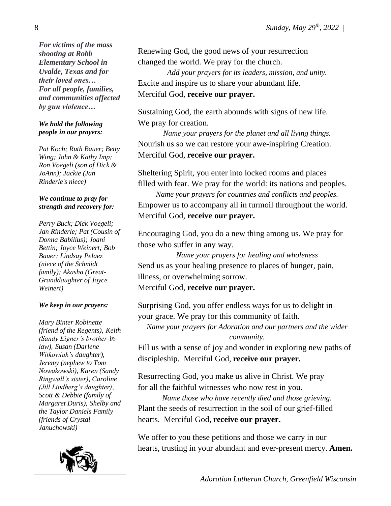*For victims of the mass shooting at Robb Elementary School in Uvalde, Texas and for their loved ones… For all people, families, and communities affected by gun violence…*

#### *We hold the following people in our prayers:*

*Pat Koch; Ruth Bauer; Betty Wing; John & Kathy Imp; Ron Voegeli (son of Dick & JoAnn); Jackie (Jan Rinderle's niece)*

#### *We continue to pray for strength and recovery for:*

*Perry Buck; Dick Voegeli; Jan Rinderle; Pat (Cousin of Donna Babilius); Joani Bettin; Joyce Weinert; Bob Bauer; Lindsay Pelaez (niece of the Schmidt family); Akasha (Great-Granddaughter of Joyce Weinert)*

### *We keep in our prayers:*

*Mary Binter Robinette (friend of the Regents), Keith (Sandy Eigner's brother-inlaw), Susan (Darlene Witkowiak's daughter), Jeremy (nephew to Tom Nowakowski), Karen (Sandy Ringwall's sister), Caroline (Jill Lindberg's daughter), Scott & Debbie (family of Margaret Duris), Shelby and the Taylor Daniels Family (friends of Crystal Januchowski)*



j

Renewing God, the good news of your resurrection changed the world. We pray for the church.

*Add your prayers for its leaders, mission, and unity.* Excite and inspire us to share your abundant life. Merciful God, **receive our prayer.**

Sustaining God, the earth abounds with signs of new life. We pray for creation.

*Name your prayers for the planet and all living things.* Nourish us so we can restore your awe-inspiring Creation. Merciful God, **receive our prayer.**

Sheltering Spirit, you enter into locked rooms and places filled with fear. We pray for the world: its nations and peoples.

*Name your prayers for countries and conflicts and peoples.* Empower us to accompany all in turmoil throughout the world. Merciful God, **receive our prayer.**

Encouraging God, you do a new thing among us. We pray for those who suffer in any way.

*Name your prayers for healing and wholeness* Send us as your healing presence to places of hunger, pain, illness, or overwhelming sorrow.

Merciful God, **receive our prayer.**

Surprising God, you offer endless ways for us to delight in your grace. We pray for this community of faith.

*Name your prayers for Adoration and our partners and the wider community.*

Fill us with a sense of joy and wonder in exploring new paths of discipleship. Merciful God, **receive our prayer.**

Resurrecting God, you make us alive in Christ. We pray for all the faithful witnesses who now rest in you.

*Name those who have recently died and those grieving.* Plant the seeds of resurrection in the soil of our grief-filled hearts. Merciful God, **receive our prayer.**

We offer to you these petitions and those we carry in our hearts, trusting in your abundant and ever-present mercy. **Amen.**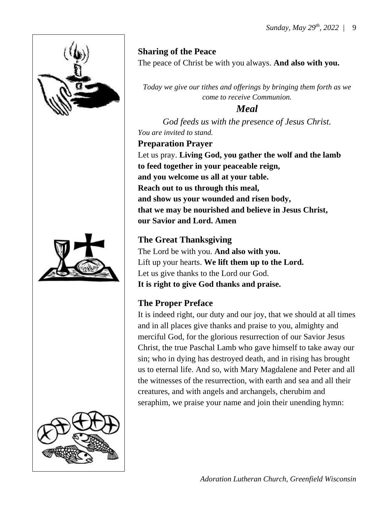

# **Sharing of the Peace**

The peace of Christ be with you always. **And also with you.**

*Today we give our tithes and offerings by bringing them forth as we come to receive Communion.* 

# *Meal*

*God feeds us with the presence of Jesus Christ. You are invited to stand.*

**Preparation Prayer** Let us pray. **Living God, you gather the wolf and the lamb to feed together in your peaceable reign, and you welcome us all at your table. Reach out to us through this meal, and show us your wounded and risen body, that we may be nourished and believe in Jesus Christ, our Savior and Lord. Amen**

# **The Great Thanksgiving**

The Lord be with you. **And also with you.** Lift up your hearts. **We lift them up to the Lord.** Let us give thanks to the Lord our God. **It is right to give God thanks and praise.**

# **The Proper Preface**

It is indeed right, our duty and our joy, that we should at all times and in all places give thanks and praise to you, almighty and merciful God, for the glorious resurrection of our Savior Jesus Christ, the true Paschal Lamb who gave himself to take away our sin; who in dying has destroyed death, and in rising has brought us to eternal life. And so, with Mary Magdalene and Peter and all the witnesses of the resurrection, with earth and sea and all their creatures, and with angels and archangels, cherubim and seraphim, we praise your name and join their unending hymn: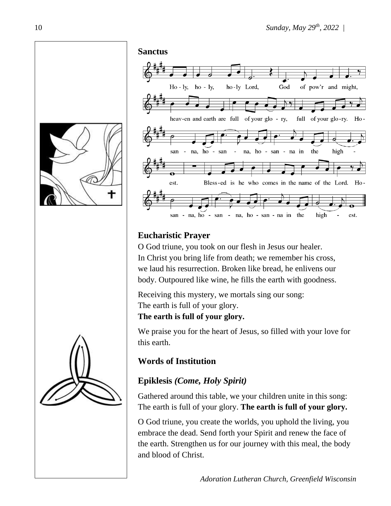





# **Eucharistic Prayer**

O God triune, you took on our flesh in Jesus our healer. In Christ you bring life from death; we remember his cross, we laud his resurrection. Broken like bread, he enlivens our body. Outpoured like wine, he fills the earth with goodness.

Receiving this mystery, we mortals sing our song: The earth is full of your glory.

**The earth is full of your glory.**

We praise you for the heart of Jesus, so filled with your love for this earth.

# **Words of Institution**

# **Epiklesis** *(Come, Holy Spirit)*

Gathered around this table, we your children unite in this song: The earth is full of your glory. **The earth is full of your glory.**

O God triune, you create the worlds, you uphold the living, you embrace the dead. Send forth your Spirit and renew the face of the earth. Strengthen us for our journey with this meal, the body and blood of Christ.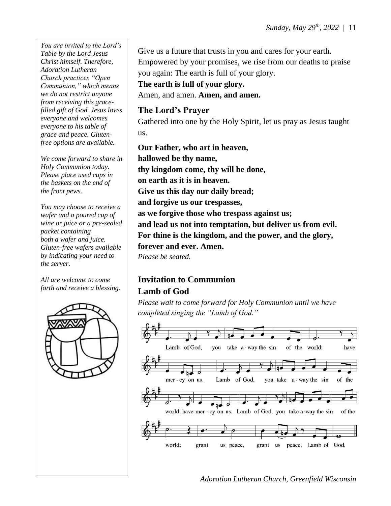*You are invited to the Lord's Table by the Lord Jesus Christ himself. Therefore, Adoration Lutheran Church practices "Open Communion," which means we do not restrict anyone from receiving this gracefilled gift of God. Jesus loves everyone and welcomes everyone to his table of grace and peace. Glutenfree options are available.*

*We come forward to share in Holy Communion today. Please place used cups in the baskets on the end of the front pews.*

*You may choose to receive a wafer and a poured cup of wine or juice or a pre-sealed packet containing both a wafer and juice. Gluten-free wafers available by indicating your need to the server.*

*All are welcome to come forth and receive a blessing.*



Give us a future that trusts in you and cares for your earth. Empowered by your promises, we rise from our deaths to praise you again: The earth is full of your glory.

**The earth is full of your glory.**

Amen, and amen. **Amen, and amen.**

## **The Lord's Prayer**

Gathered into one by the Holy Spirit, let us pray as Jesus taught us.

**Our Father, who art in heaven, hallowed be thy name, thy kingdom come, thy will be done, on earth as it is in heaven. Give us this day our daily bread; and forgive us our trespasses, as we forgive those who trespass against us; and lead us not into temptation, but deliver us from evil. For thine is the kingdom, and the power, and the glory, forever and ever. Amen.** *Please be seated.*

# **Invitation to Communion Lamb of God**

*Please wait to come forward for Holy Communion until we have completed singing the "Lamb of God."*

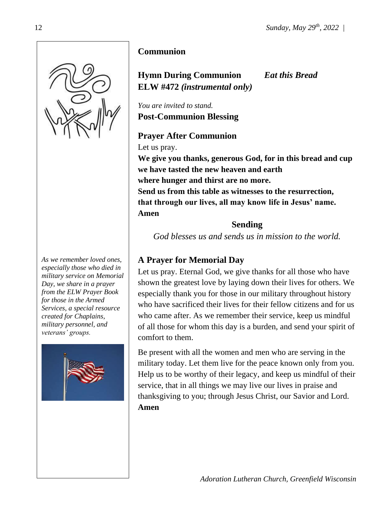

**Hymn During Communion** *Eat this Bread* **ELW #472** *(instrumental only)*

*You are invited to stand.* **Post-Communion Blessing**

**Prayer After Communion** Let us pray. **We give you thanks, generous God, for in this bread and cup we have tasted the new heaven and earth where hunger and thirst are no more. Send us from this table as witnesses to the resurrection, that through our lives, all may know life in Jesus' name. Amen**

### **Sending**

*God blesses us and sends us in mission to the world.*

## **A Prayer for Memorial Day**

Let us pray. Eternal God, we give thanks for all those who have shown the greatest love by laying down their lives for others. We especially thank you for those in our military throughout history who have sacrificed their lives for their fellow citizens and for us who came after. As we remember their service, keep us mindful of all those for whom this day is a burden, and send your spirit of comfort to them.

Be present with all the women and men who are serving in the military today. Let them live for the peace known only from you. Help us to be worthy of their legacy, and keep us mindful of their service, that in all things we may live our lives in praise and thanksgiving to you; through Jesus Christ, our Savior and Lord. **Amen**



*As we remember loved ones, especially those who died in military service on Memorial Day, we share in a prayer from the ELW Prayer Book for those in the Armed Services, a special resource created for Chaplains, military personnel, and veterans' groups.*